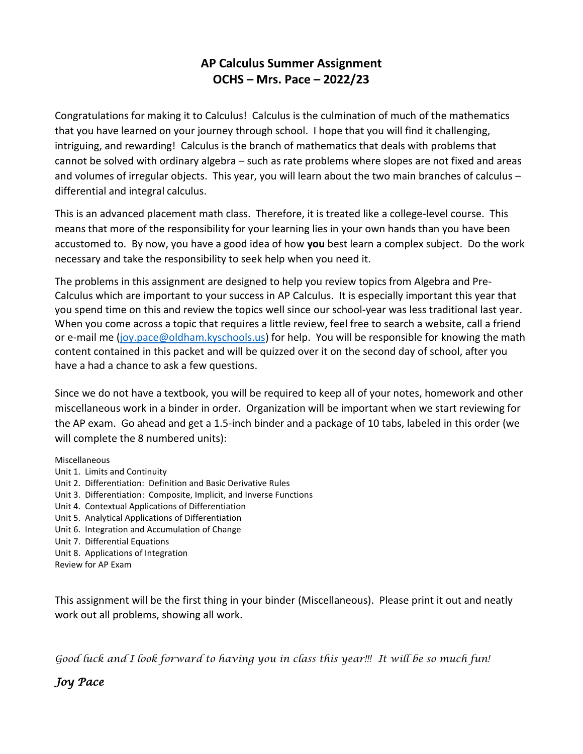# **AP Calculus Summer Assignment OCHS – Mrs. Pace – 2022/23**

Congratulations for making it to Calculus! Calculus is the culmination of much of the mathematics that you have learned on your journey through school. I hope that you will find it challenging, intriguing, and rewarding! Calculus is the branch of mathematics that deals with problems that cannot be solved with ordinary algebra – such as rate problems where slopes are not fixed and areas and volumes of irregular objects. This year, you will learn about the two main branches of calculus – differential and integral calculus.

This is an advanced placement math class. Therefore, it is treated like a college-level course. This means that more of the responsibility for your learning lies in your own hands than you have been accustomed to. By now, you have a good idea of how **you** best learn a complex subject. Do the work necessary and take the responsibility to seek help when you need it.

The problems in this assignment are designed to help you review topics from Algebra and Pre-Calculus which are important to your success in AP Calculus. It is especially important this year that you spend time on this and review the topics well since our school-year was less traditional last year. When you come across a topic that requires a little review, feel free to search a website, call a friend or e-mail me [\(joy.pace@oldham.kyschools.us\)](mailto:joy.pace@oldham.kyschools.us) for help. You will be responsible for knowing the math content contained in this packet and will be quizzed over it on the second day of school, after you have a had a chance to ask a few questions.

Since we do not have a textbook, you will be required to keep all of your notes, homework and other miscellaneous work in a binder in order. Organization will be important when we start reviewing for the AP exam. Go ahead and get a 1.5-inch binder and a package of 10 tabs, labeled in this order (we will complete the 8 numbered units):

Miscellaneous

- Unit 1. Limits and Continuity
- Unit 2. Differentiation: Definition and Basic Derivative Rules
- Unit 3. Differentiation: Composite, Implicit, and Inverse Functions
- Unit 4. Contextual Applications of Differentiation
- Unit 5. Analytical Applications of Differentiation
- Unit 6. Integration and Accumulation of Change
- Unit 7. Differential Equations
- Unit 8. Applications of Integration

Review for AP Exam

This assignment will be the first thing in your binder (Miscellaneous). Please print it out and neatly work out all problems, showing all work.

*Good luck and I look forward to having you in class this year!!! It will be so much fun!*

*Joy Pace*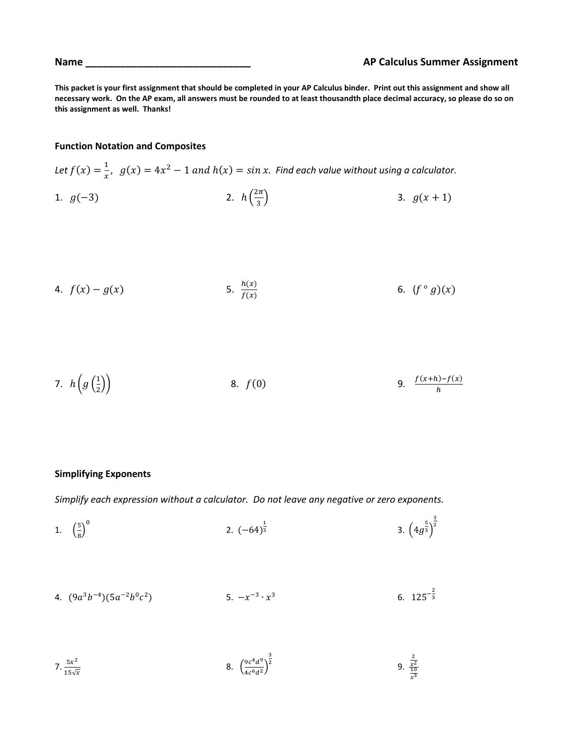**This packet is your first assignment that should be completed in your AP Calculus binder. Print out this assignment and show all necessary work. On the AP exam, all answers must be rounded to at least thousandth place decimal accuracy, so please do so on this assignment as well. Thanks!**

## **Function Notation and Composites**

Let  $f(x) = \frac{1}{x}$  $\frac{1}{x}$ ,  $g(x) = 4x^2 - 1$  and  $h(x) = \sin x$ . Find each value without using a calculator. 1.  $g(-3)$  $2\pi$ 3.  $g(x + 1)$ 

3

4. 
$$
f(x) - g(x)
$$
 5.  $\frac{h(x)}{f(x)}$  6.  $(f \circ g)(x)$ 

7. 
$$
h\left(g\left(\frac{1}{2}\right)\right)
$$
 8.  $f(0)$  9.  $\frac{f(x+h)-f(x)}{h}$ 

#### **Simplifying Exponents**

*Simplify each expression without a calculator. Do not leave any negative or zero exponents.*

1. 
$$
\left(\frac{5}{8}\right)^0
$$
 2.  $(-64)^{\frac{1}{3}}$  3.  $\left(4g^{\frac{5}{3}}\right)^{\frac{3}{2}}$ 

4. 
$$
(9a^3b^{-4})(5a^{-2}b^0c^2)
$$
 5.  $-x^{-3} \cdot x^3$  6.  $125^{-\frac{2}{3}}$ 

7. 
$$
\frac{5x^2}{15\sqrt{x}}
$$
 8.  $\left(\frac{9c^4d^9}{4c^6d^2}\right)^{\frac{3}{2}}$  9.  $\frac{\frac{2}{x^2}}{\frac{10}{x^3}}$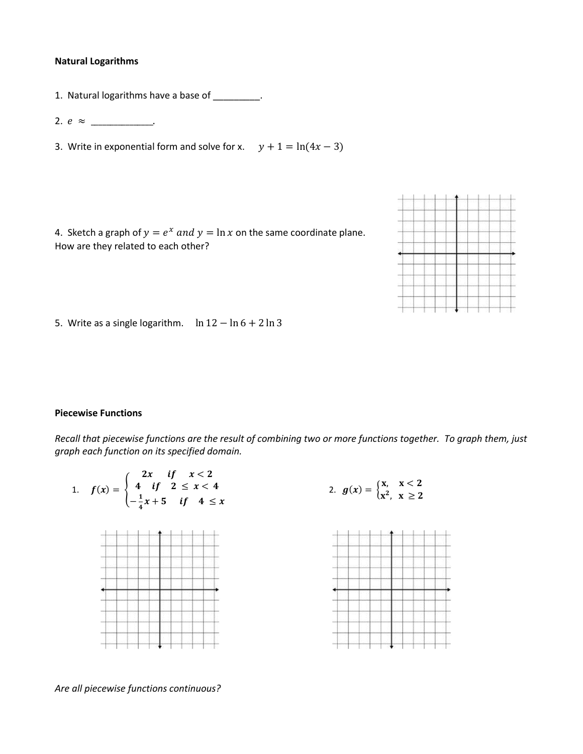#### **Natural Logarithms**

1. Natural logarithms have a base of \_\_\_\_\_\_\_\_.

2.  $e \approx$  \_\_\_\_\_\_\_\_\_\_\_\_.

3. Write in exponential form and solve for x.  $y + 1 = ln(4x - 3)$ 

4. Sketch a graph of  $y = e^x$  and  $y = \ln x$  on the same coordinate plane. How are they related to each other?



5. Write as a single logarithm.  $\ln 12 - \ln 6 + 2 \ln 3$ 

#### **Piecewise Functions**

*Recall that piecewise functions are the result of combining two or more functions together. To graph them, just graph each function on its specified domain.* 



*Are all piecewise functions continuous?*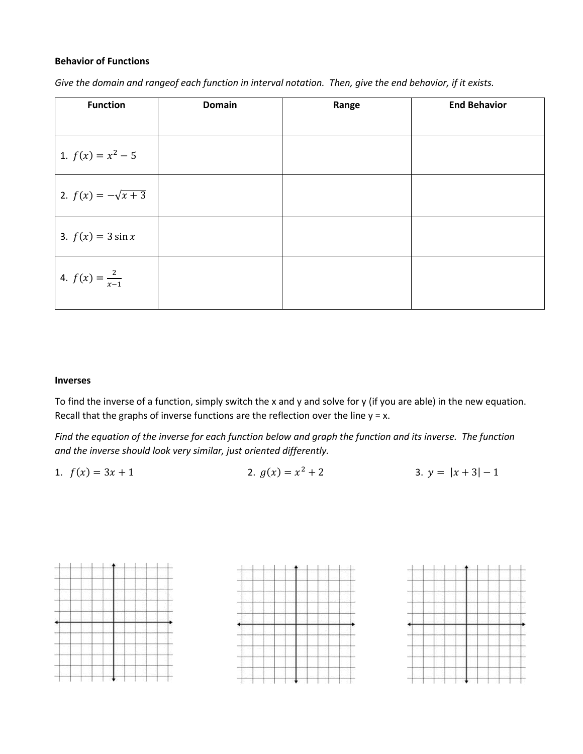## **Behavior of Functions**

| Give the domain and rangeof each function in interval notation. Then, give the end behavior, if it exists. |  |
|------------------------------------------------------------------------------------------------------------|--|
|------------------------------------------------------------------------------------------------------------|--|

| <b>Function</b>           | <b>Domain</b> | Range | <b>End Behavior</b> |
|---------------------------|---------------|-------|---------------------|
|                           |               |       |                     |
| 1. $f(x) = x^2 - 5$       |               |       |                     |
| 2. $f(x) = -\sqrt{x+3}$   |               |       |                     |
| 3. $f(x) = 3 \sin x$      |               |       |                     |
| 4. $f(x) = \frac{2}{x-1}$ |               |       |                     |

## **Inverses**

To find the inverse of a function, simply switch the x and y and solve for y (if you are able) in the new equation. Recall that the graphs of inverse functions are the reflection over the line  $y = x$ .

*Find the equation of the inverse for each function below and graph the function and its inverse. The function and the inverse should look very similar, just oriented differently.* 

1.  $f(x) = 3x + 1$ <br>2.  $g(x) = x^2 + 2$ 3.  $y = |x + 3| - 1$ 

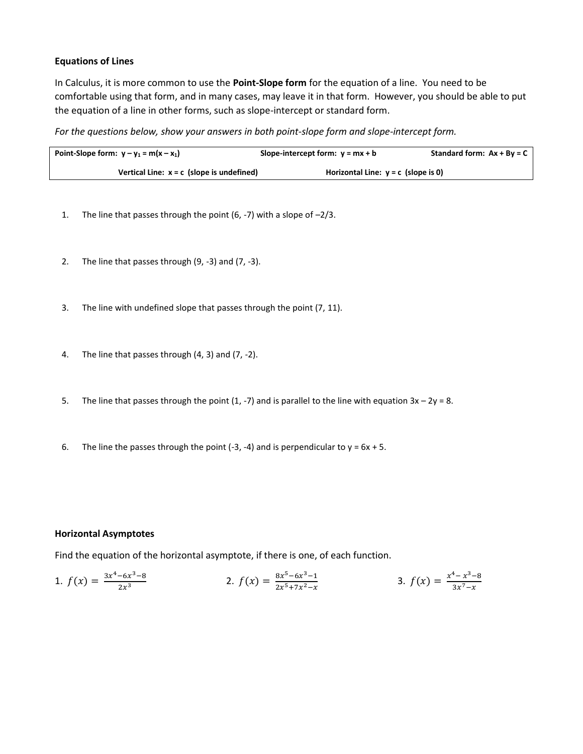# **Equations of Lines**

In Calculus, it is more common to use the **Point-Slope form** for the equation of a line. You need to be comfortable using that form, and in many cases, may leave it in that form. However, you should be able to put the equation of a line in other forms, such as slope-intercept or standard form.

*For the questions below, show your answers in both point-slope form and slope-intercept form.* 

| Point-Slope form: $y - y_1 = m(x - x_1)$    | Slope-intercept form: $y = mx + b$    | Standard form: $Ax + By = C$ |
|---------------------------------------------|---------------------------------------|------------------------------|
| Vertical Line: $x = c$ (slope is undefined) | Horizontal Line: $y = c$ (slope is 0) |                              |

- 1. The line that passes through the point (6, -7) with a slope of –2/3.
- 2. The line that passes through (9, -3) and (7, -3).
- 3. The line with undefined slope that passes through the point (7, 11).
- 4. The line that passes through (4, 3) and (7, -2).
- 5. The line that passes through the point (1, -7) and is parallel to the line with equation  $3x 2y = 8$ .
- 6. The line the passes through the point  $(-3, -4)$  and is perpendicular to  $y = 6x + 5$ .

## **Horizontal Asymptotes**

Find the equation of the horizontal asymptote, if there is one, of each function.

1. 
$$
f(x) = \frac{3x^4 - 6x^3 - 8}{2x^3}
$$
  
2.  $f(x) = \frac{8x^5 - 6x^3 - 1}{2x^5 + 7x^2 - x}$   
3.  $f(x) = \frac{x^4 - x^3 - 8}{3x^7 - x}$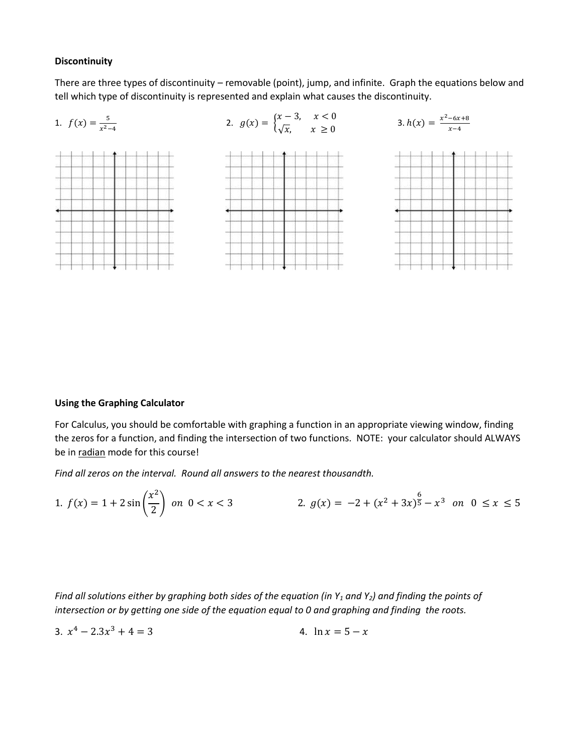### **Discontinuity**

There are three types of discontinuity – removable (point), jump, and infinite. Graph the equations below and tell which type of discontinuity is represented and explain what causes the discontinuity.



# **Using the Graphing Calculator**

For Calculus, you should be comfortable with graphing a function in an appropriate viewing window, finding the zeros for a function, and finding the intersection of two functions. NOTE: your calculator should ALWAYS be in radian mode for this course!

*Find all zeros on the interval. Round all answers to the nearest thousandth.*

1. 
$$
f(x) = 1 + 2\sin\left(\frac{x^2}{2}\right)
$$
 on  $0 < x < 3$   
2.  $g(x) = -2 + (x^2 + 3x)^{\frac{6}{5}} - x^3$  on  $0 \le x \le 5$ 

*Find all solutions either by graphing both sides of the equation (in Y<sup>1</sup> and Y2) and finding the points of intersection or by getting one side of the equation equal to 0 and graphing and finding the roots.* 

3. 
$$
x^4 - 2.3x^3 + 4 = 3
$$
  
4.  $\ln x = 5 - x$